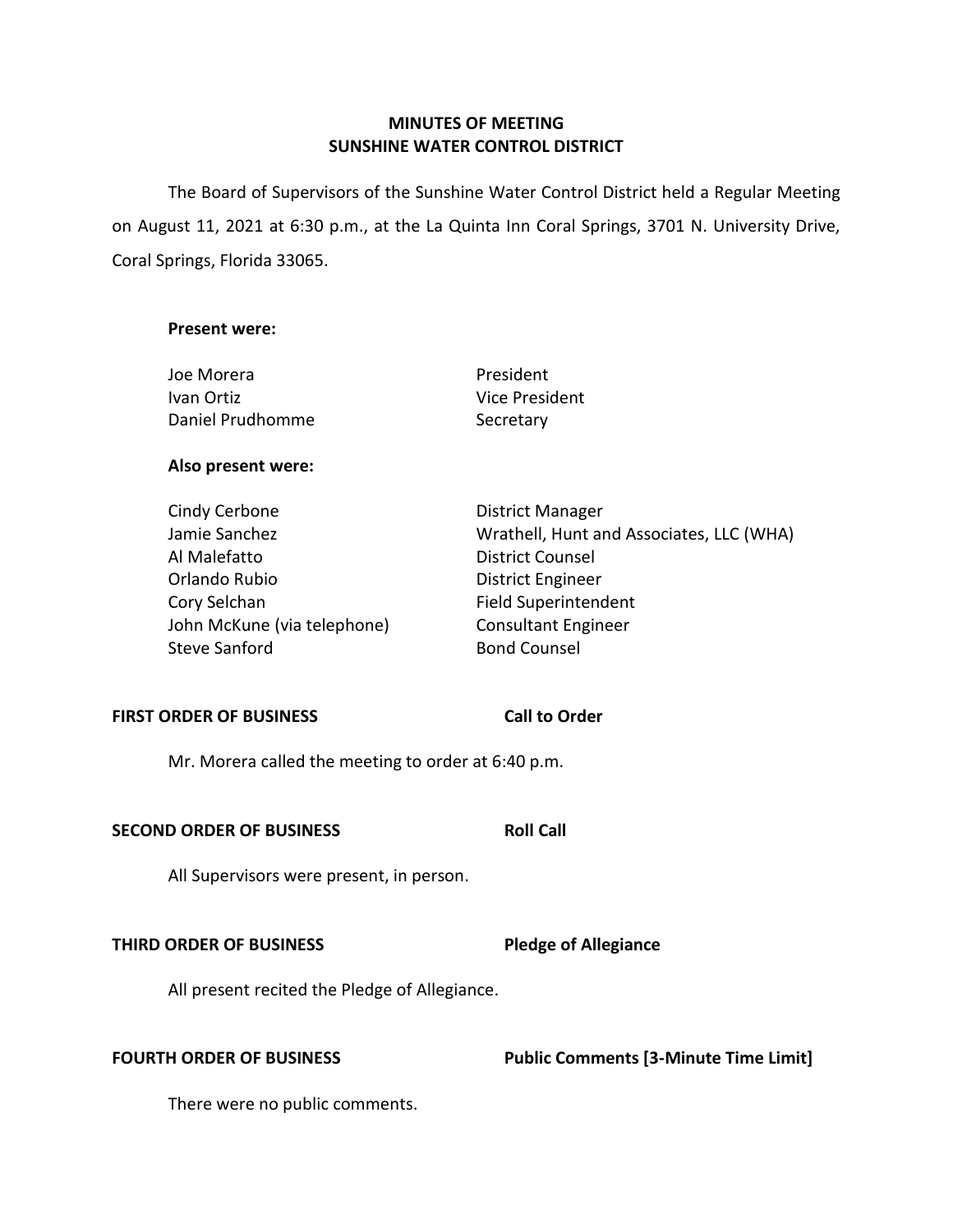## **MINUTES OF MEETING SUNSHINE WATER CONTROL DISTRICT**

 The Board of Supervisors of the Sunshine Water Control District held a Regular Meeting on August 11, 2021 at 6:30 p.m., at the La Quinta Inn Coral Springs, 3701 N. University Drive, Coral Springs, Florida 33065.

## **Present were:**

| Joe Morera       | President      |
|------------------|----------------|
| Ivan Ortiz       | Vice President |
| Daniel Prudhomme | Secretary      |

## **Also present were:**

| Cindy Cerbone               | <b>District Manager</b>                  |
|-----------------------------|------------------------------------------|
| Jamie Sanchez               | Wrathell, Hunt and Associates, LLC (WHA) |
| Al Malefatto                | <b>District Counsel</b>                  |
| Orlando Rubio               | District Engineer                        |
| Cory Selchan                | <b>Field Superintendent</b>              |
| John McKune (via telephone) | <b>Consultant Engineer</b>               |
| Steve Sanford               | <b>Bond Counsel</b>                      |

## **FIRST ORDER OF BUSINESS**

Mr. Morera called the meeting to order at 6:40 p.m.

### **SECOND ORDER OF BUSINESS**

All Supervisors were present, in person.

## **THIRD ORDER OF BUSINESS**

**Pledge of Allegiance** 

**Call to Order** 

**Roll Call** 

All present recited the Pledge of Allegiance.

**FOURTH ORDER OF BUSINESS** Public Comments [3-Minute Time Limit]

There were no public comments.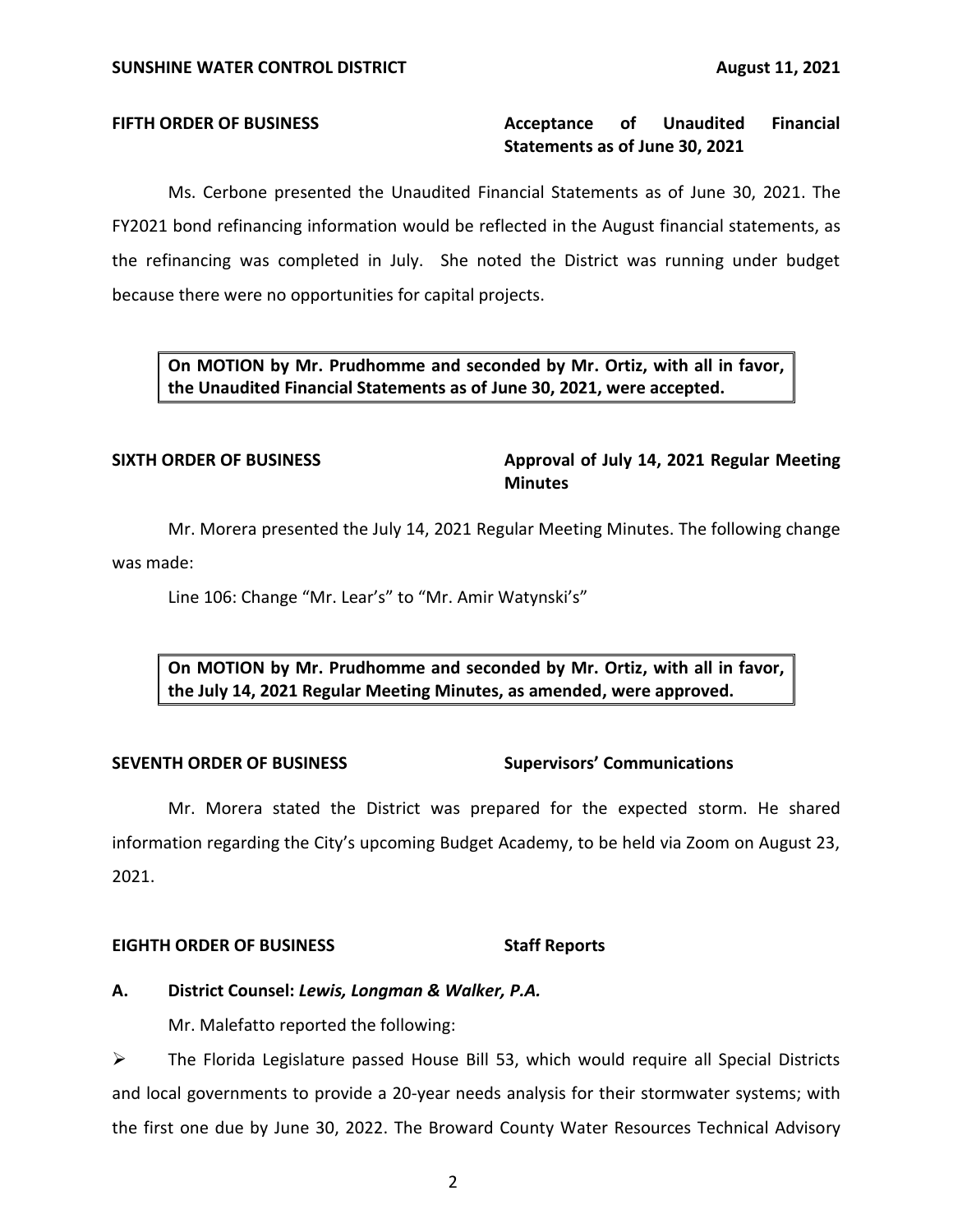#### **Acceptance Statements as of June 30, 2021 FIFTH ORDER OF BUSINESS Acceptance of Unaudited Financial**

 Ms. Cerbone presented the Unaudited Financial Statements as of June 30, 2021. The FY2021 bond refinancing information would be reflected in the August financial statements, as the refinancing was completed in July. She noted the District was running under budget because there were no opportunities for capital projects.

 **On MOTION by Mr. Prudhomme and seconded by Mr. Ortiz, with all in favor, the Unaudited Financial Statements as of June 30, 2021, were accepted.** 

## SIXTH ORDER OF BUSINESS **Approval of July 14, 2021 Regular Meeting Minutes**

Mr. Morera presented the July 14, 2021 Regular Meeting Minutes. The following change was made:

Line 106: Change "Mr. Lear's" to "Mr. Amir Watynski's"

 **On MOTION by Mr. Prudhomme and seconded by Mr. Ortiz, with all in favor, the July 14, 2021 Regular Meeting Minutes, as amended, were approved.** 

## **SEVENTH ORDER OF BUSINESS Supervisors' Communications**

 Mr. Morera stated the District was prepared for the expected storm. He shared information regarding the City's upcoming Budget Academy, to be held via Zoom on August 23, 2021.

## **EIGHTH ORDER OF BUSINESS** Staff Reports

## **A. District Counsel:** *Lewis, Longman & Walker, P.A.*

Mr. Malefatto reported the following:

 ➢ The Florida Legislature passed House Bill 53, which would require all Special Districts and local governments to provide a 20-year needs analysis for their stormwater systems; with the first one due by June 30, 2022. The Broward County Water Resources Technical Advisory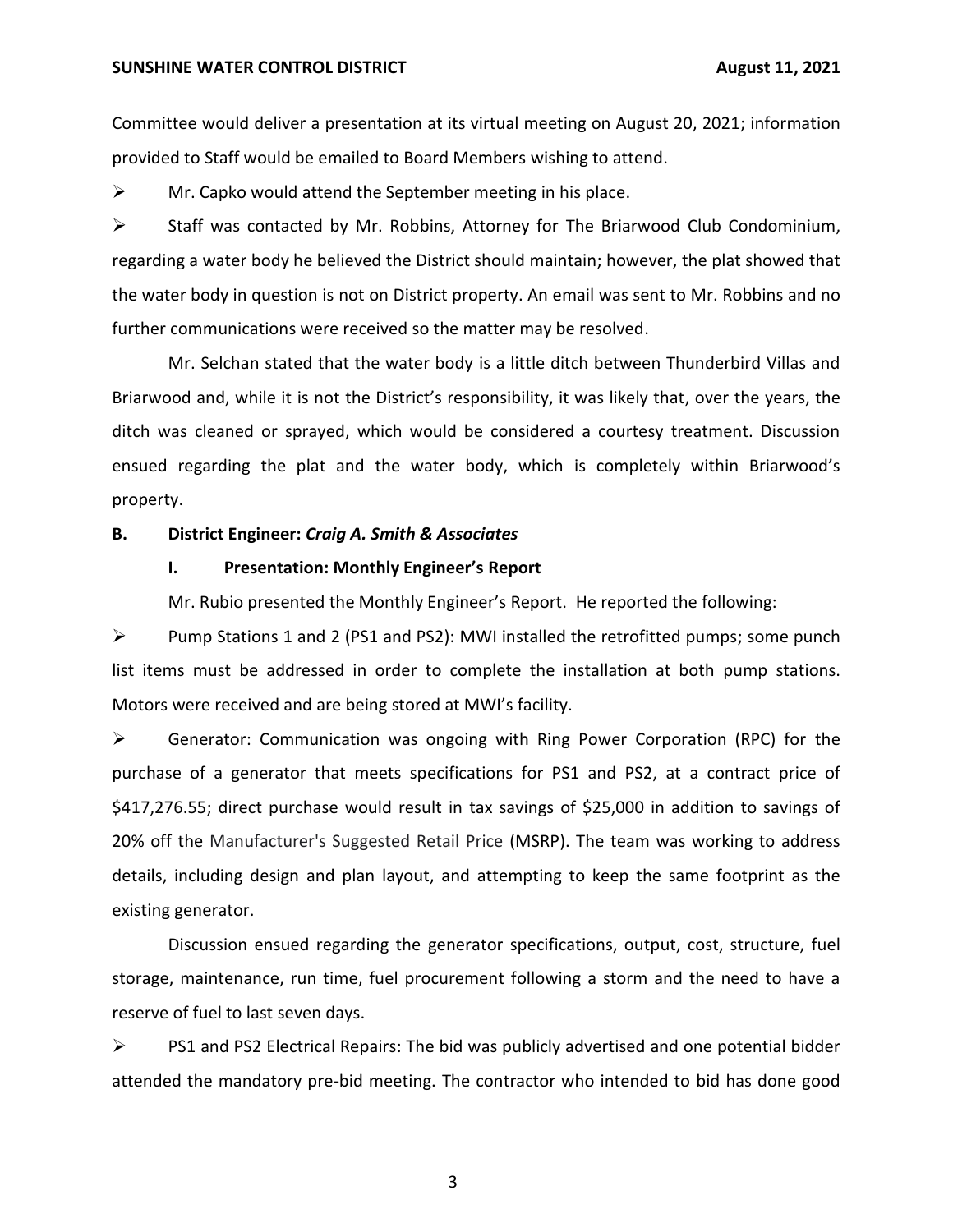#### **SUNSHINE WATER CONTROL DISTRICT AUGUST 2021**

 provided to Staff would be emailed to Board Members wishing to attend. Committee would deliver a presentation at its virtual meeting on August 20, 2021; information

 $\triangleright$  Mr. Capko would attend the September meeting in his place.

 $\triangleright$  Staff was contacted by Mr. Robbins, Attorney for The Briarwood Club Condominium, regarding a water body he believed the District should maintain; however, the plat showed that the water body in question is not on District property. An email was sent to Mr. Robbins and no further communications were received so the matter may be resolved.

 Mr. Selchan stated that the water body is a little ditch between Thunderbird Villas and ditch was cleaned or sprayed, which would be considered a courtesy treatment. Discussion ensued regarding the plat and the water body, which is completely within Briarwood's Briarwood and, while it is not the District's responsibility, it was likely that, over the years, the property.

## **B. District Engineer:** *Craig A. Smith & Associates*

## **I. Presentation: Monthly Engineer's Report**

Mr. Rubio presented the Monthly Engineer's Report. He reported the following:

 ➢ Pump Stations 1 and 2 (PS1 and PS2): MWI installed the retrofitted pumps; some punch list items must be addressed in order to complete the installation at both pump stations. Motors were received and are being stored at MWI's facility.

 ➢ Generator: Communication was ongoing with Ring Power Corporation (RPC) for the purchase of a generator that meets specifications for PS1 and PS2, at a contract price of [\\$417,276.55;](https://417,276.55) direct purchase would result in tax savings of \$25,000 in addition to savings of 20% off the Manufacturer's Suggested Retail Price (MSRP). The team was working to address details, including design and plan layout, and attempting to keep the same footprint as the existing generator.

 Discussion ensued regarding the generator specifications, output, cost, structure, fuel storage, maintenance, run time, fuel procurement following a storm and the need to have a reserve of fuel to last seven days.

 ➢ PS1 and PS2 Electrical Repairs: The bid was publicly advertised and one potential bidder attended the mandatory pre-bid meeting. The contractor who intended to bid has done good

3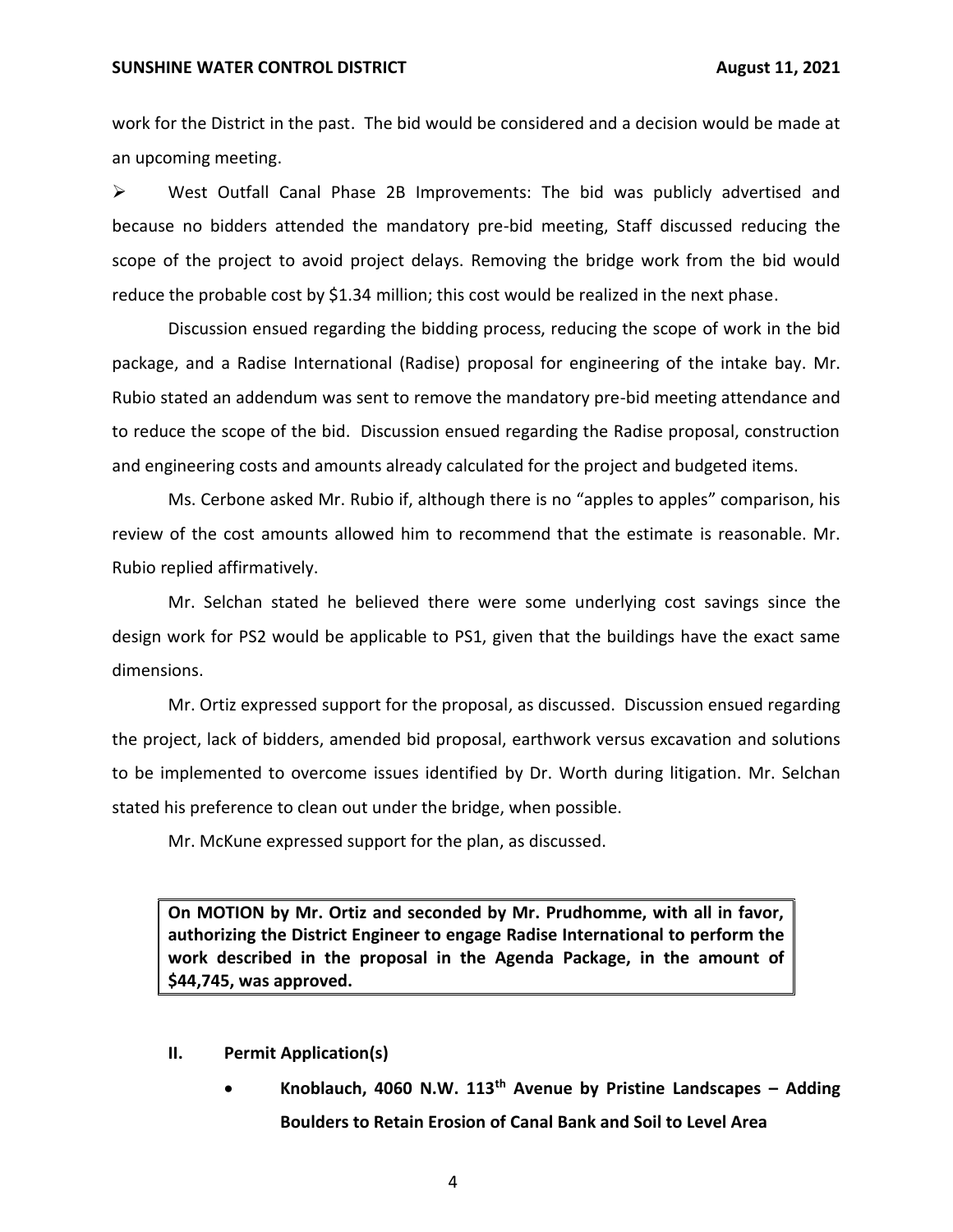#### **SUNSHINE WATER CONTROL DISTRICT AUGUST 2021**

 work for the District in the past. The bid would be considered and a decision would be made at an upcoming meeting.

 ➢ West Outfall Canal Phase 2B Improvements: The bid was publicly advertised and because no bidders attended the mandatory pre-bid meeting, Staff discussed reducing the scope of the project to avoid project delays. Removing the bridge work from the bid would reduce the probable cost by \$1.34 million; this cost would be realized in the next phase.

 Discussion ensued regarding the bidding process, reducing the scope of work in the bid package, and a Radise International (Radise) proposal for engineering of the intake bay. Mr. Rubio stated an addendum was sent to remove the mandatory pre-bid meeting attendance and to reduce the scope of the bid. Discussion ensued regarding the Radise proposal, construction and engineering costs and amounts already calculated for the project and budgeted items.

 Ms. Cerbone asked Mr. Rubio if, although there is no "apples to apples" comparison, his review of the cost amounts allowed him to recommend that the estimate is reasonable. Mr. Rubio replied affirmatively.

 Mr. Selchan stated he believed there were some underlying cost savings since the design work for PS2 would be applicable to PS1, given that the buildings have the exact same dimensions.

 Mr. Ortiz expressed support for the proposal, as discussed. Discussion ensued regarding the project, lack of bidders, amended bid proposal, earthwork versus excavation and solutions to be implemented to overcome issues identified by Dr. Worth during litigation. Mr. Selchan stated his preference to clean out under the bridge, when possible.

Mr. McKune expressed support for the plan, as discussed.

 **On MOTION by Mr. Ortiz and seconded by Mr. Prudhomme, with all in favor, authorizing the District Engineer to engage Radise International to perform the work described in the proposal in the Agenda Package, in the amount of \$44,745, was approved.** 

- **II. Permit Application(s)** 
	- **Knoblauch, 4060 N.W. 113th Avenue by Pristine Landscapes – Adding Boulders to Retain Erosion of Canal Bank and Soil to Level Area**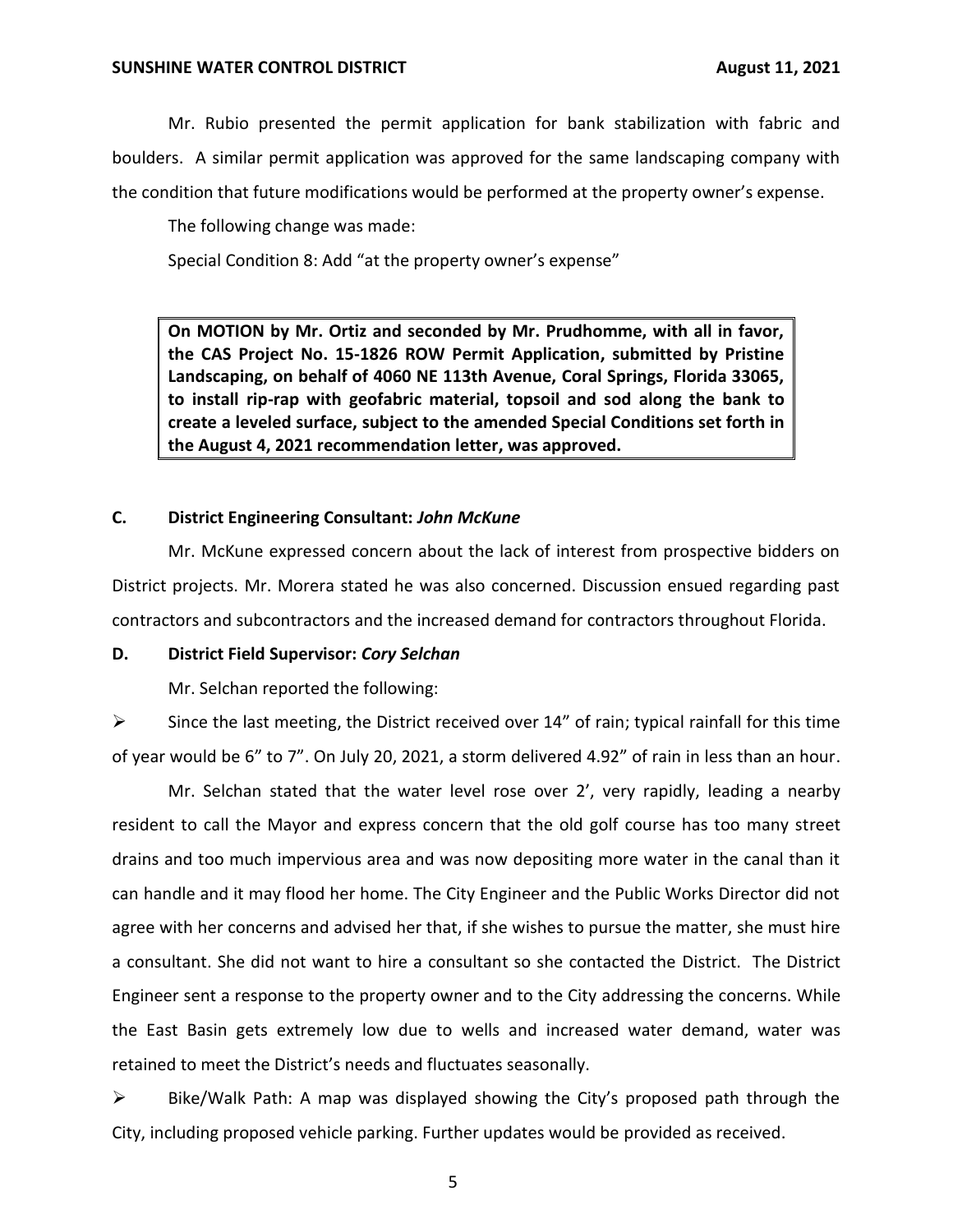Mr. Rubio presented the permit application for bank stabilization with fabric and boulders. A similar permit application was approved for the same landscaping company with the condition that future modifications would be performed at the property owner's expense.

The following change was made:

Special Condition 8: Add "at the property owner's expense"

 **On MOTION by Mr. Ortiz and seconded by Mr. Prudhomme, with all in favor, the CAS Project No. 15-1826 ROW Permit Application, submitted by Pristine Landscaping, on behalf of 4060 NE 113th Avenue, Coral Springs, Florida 33065, to install rip-rap with geofabric material, topsoil and sod along the bank to create a leveled surface, subject to the amended Special Conditions set forth in the August 4, 2021 recommendation letter, was approved.** 

## **C. District Engineering Consultant:** *John McKune*

 Mr. McKune expressed concern about the lack of interest from prospective bidders on District projects. Mr. Morera stated he was also concerned. Discussion ensued regarding past contractors and subcontractors and the increased demand for contractors throughout Florida.

## **D. District Field Supervisor:** *Cory Selchan*

Mr. Selchan reported the following:

 $\triangleright$  Since the last meeting, the District received over 14" of rain; typical rainfall for this time of year would be 6" to 7". On July 20, 2021, a storm delivered 4.92" of rain in less than an hour.

 Mr. Selchan stated that the water level rose over 2', very rapidly, leading a nearby resident to call the Mayor and express concern that the old golf course has too many street drains and too much impervious area and was now depositing more water in the canal than it can handle and it may flood her home. The City Engineer and the Public Works Director did not agree with her concerns and advised her that, if she wishes to pursue the matter, she must hire a consultant. She did not want to hire a consultant so she contacted the District. The District Engineer sent a response to the property owner and to the City addressing the concerns. While the East Basin gets extremely low due to wells and increased water demand, water was retained to meet the District's needs and fluctuates seasonally.

 ➢ Bike/Walk Path: A map was displayed showing the City's proposed path through the City, including proposed vehicle parking. Further updates would be provided as received.

5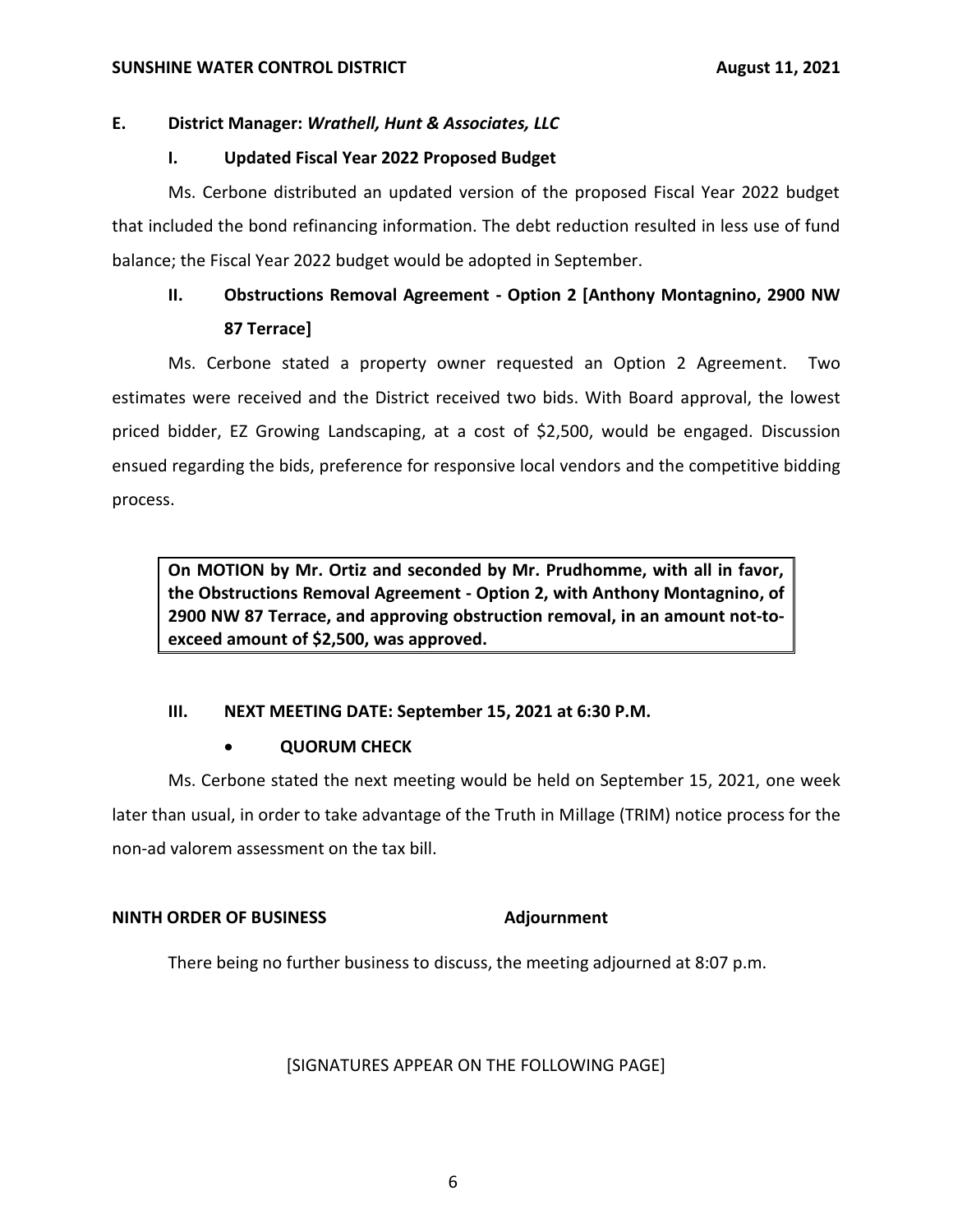## **E. District Manager:** *Wrathell, Hunt & Associates, LLC*

## **I. Updated Fiscal Year 2022 Proposed Budget**

 Ms. Cerbone distributed an updated version of the proposed Fiscal Year 2022 budget that included the bond refinancing information. The debt reduction resulted in less use of fund balance; the Fiscal Year 2022 budget would be adopted in September.

# **II. Obstructions Removal Agreement - Option 2 [Anthony Montagnino, 2900 NW 87 Terrace]**

 Ms. Cerbone stated a property owner requested an Option 2 Agreement. Two estimates were received and the District received two bids. With Board approval, the lowest priced bidder, EZ Growing Landscaping, at a cost of \$2,500, would be engaged. Discussion ensued regarding the bids, preference for responsive local vendors and the competitive bidding process.

 **On MOTION by Mr. Ortiz and seconded by Mr. Prudhomme, with all in favor, the Obstructions Removal Agreement - Option 2, with Anthony Montagnino, of 2900 NW 87 Terrace, and approving obstruction removal, in an amount not-to- exceed amount of \$2,500, was approved.** 

## **III. NEXT MEETING DATE: September 15, 2021 at 6:30 P.M.**

## • **QUORUM CHECK**

 Ms. Cerbone stated the next meeting would be held on September 15, 2021, one week later than usual, in order to take advantage of the Truth in Millage (TRIM) notice process for the non-ad valorem assessment on the tax bill.

## **NINTH ORDER OF BUSINESS Adjournment**

There being no further business to discuss, the meeting adjourned at 8:07 p.m.

[SIGNATURES APPEAR ON THE FOLLOWING PAGE]